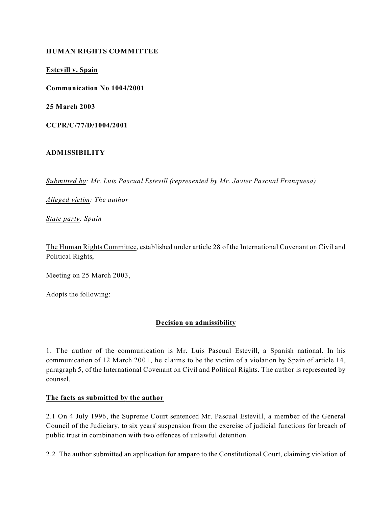## **HUMAN RIGHTS COMMITTEE**

**Estevill v. Spain**

**Communication No 1004/2001**

**25 March 2003**

**CCPR/C/77/D/1004/2001**

### **ADMISSIBILITY**

*Submitted by: Mr. Luis Pascual Estevill (represented by Mr. Javier Pascual Franquesa)*

*Alleged victim: The author*

*State party: Spain*

The Human Rights Committee, established under article 28 of the International Covenant on Civil and Political Rights,

Meeting on 25 March 2003,

Adopts the following:

## **Decision on admissibility**

1. The author of the communication is Mr. Luis Pascual Estevill, a Spanish national. In his communication of 12 March 2001, he claims to be the victim of a violation by Spain of article 14, paragraph 5, of the International Covenant on Civil and Political Rights. The author is represented by counsel.

### **The facts as submitted by the author**

2.1 On 4 July 1996, the Supreme Court sentenced Mr. Pascual Estevill, a member of the General Council of the Judiciary, to six years' suspension from the exercise of judicial functions for breach of public trust in combination with two offences of unlawful detention.

2.2 The author submitted an application for amparo to the Constitutional Court, claiming violation of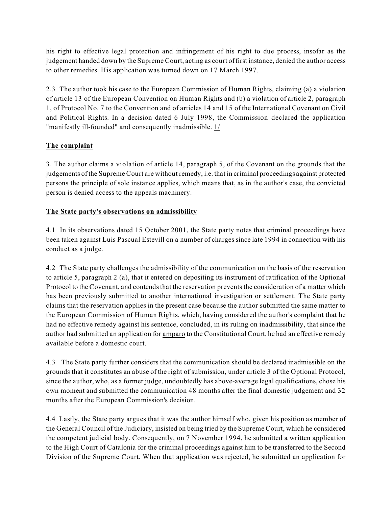his right to effective legal protection and infringement of his right to due process, insofar as the judgement handed down by the Supreme Court, acting as court offirst instance, denied the author access to other remedies. His application was turned down on 17 March 1997.

2.3 The author took his case to the European Commission of Human Rights, claiming (a) a violation of article 13 of the European Convention on Human Rights and (b) a violation of article 2, paragraph 1, of Protocol No. 7 to the Convention and of articles 14 and 15 of the International Covenant on Civil and Political Rights. In a decision dated 6 July 1998, the Commission declared the application "manifestly ill-founded" and consequently inadmissible. 1/

# **The complaint**

3. The author claims a violation of article 14, paragraph 5, of the Covenant on the grounds that the judgements of the Supreme Court are without remedy, i.e. that in criminal proceedings against protected persons the principle of sole instance applies, which means that, as in the author's case, the convicted person is denied access to the appeals machinery.

# **The State party's observations on admissibility**

4.1 In its observations dated 15 October 2001, the State party notes that criminal proceedings have been taken against Luis Pascual Estevill on a number of charges since late 1994 in connection with his conduct as a judge.

4.2 The State party challenges the admissibility of the communication on the basis of the reservation to article 5, paragraph 2 (a), that it entered on depositing its instrument of ratification of the Optional Protocol to the Covenant, and contends that the reservation prevents the consideration of a matter which has been previously submitted to another international investigation or settlement. The State party claims that the reservation applies in the present case because the author submitted the same matter to the European Commission of Human Rights, which, having considered the author's complaint that he had no effective remedy against his sentence, concluded, in its ruling on inadmissibility, that since the author had submitted an application for amparo to the Constitutional Court, he had an effective remedy available before a domestic court.

4.3 The State party further considers that the communication should be declared inadmissible on the grounds that it constitutes an abuse of the right of submission, under article 3 of the Optional Protocol, since the author, who, as a former judge, undoubtedly has above-average legal qualifications, chose his own moment and submitted the communication 48 months after the final domestic judgement and 32 months after the European Commission's decision.

4.4 Lastly, the State party argues that it was the author himself who, given his position as member of the General Council of the Judiciary, insisted on being tried by the Supreme Court, which he considered the competent judicial body. Consequently, on 7 November 1994, he submitted a written application to the High Court of Catalonia for the criminal proceedings against him to be transferred to the Second Division of the Supreme Court. When that application was rejected, he submitted an application for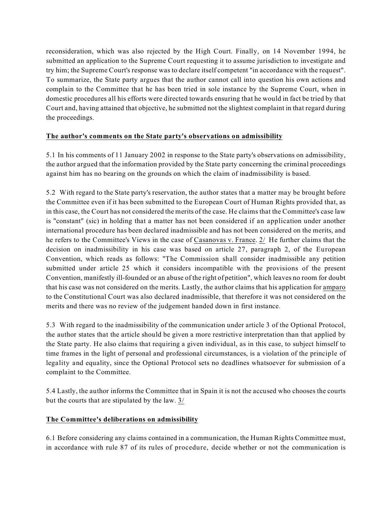reconsideration, which was also rejected by the High Court. Finally, on 14 November 1994, he submitted an application to the Supreme Court requesting it to assume jurisdiction to investigate and try him; the Supreme Court's response was to declare itself competent "in accordance with the request". To summarize, the State party argues that the author cannot call into question his own actions and complain to the Committee that he has been tried in sole instance by the Supreme Court, when in domestic procedures all his efforts were directed towards ensuring that he would in fact be tried by that Court and, having attained that objective, he submitted not the slightest complaint in that regard during the proceedings.

# **The author's comments on the State party's observations on admissibility**

5.1 In his comments of 11 January 2002 in response to the State party's observations on admissibility, the author argued that the information provided by the State party concerning the criminal proceedings against him has no bearing on the grounds on which the claim of inadmissibility is based.

5.2 With regard to the State party's reservation, the author states that a matter may be brought before the Committee even if it has been submitted to the European Court of Human Rights provided that, as in this case, the Court has not considered the merits of the case. He claims that the Committee's case law is "constant" (sic) in holding that a matter has not been considered if an application under another international procedure has been declared inadmissible and has not been considered on the merits, and he refers to the Committee's Views in the case of Casanovas v. France. 2/ He further claims that the decision on inadmissibility in his case was based on article 27, paragraph 2, of the European Convention, which reads as follows: "The Commission shall consider inadmissible any petition submitted under article 25 which it considers incompatible with the provisions of the present Convention, manifestly ill-founded or an abuse of the right of petition", which leaves no room for doubt that his case was not considered on the merits. Lastly, the author claims that his application for amparo to the Constitutional Court was also declared inadmissible, that therefore it was not considered on the merits and there was no review of the judgement handed down in first instance.

5.3 With regard to the inadmissibility of the communication under article 3 of the Optional Protocol, the author states that the article should be given a more restrictive interpretation than that applied by the State party. He also claims that requiring a given individual, as in this case, to subject himself to time frames in the light of personal and professional circumstances, is a violation of the principle of legality and equality, since the Optional Protocol sets no deadlines whatsoever for submission of a complaint to the Committee.

5.4 Lastly, the author informs the Committee that in Spain it is not the accused who chooses the courts but the courts that are stipulated by the law. 3/

## **The Committee's deliberations on admissibility**

6.1 Before considering any claims contained in a communication, the Human Rights Committee must, in accordance with rule 87 of its rules of procedure, decide whether or not the communication is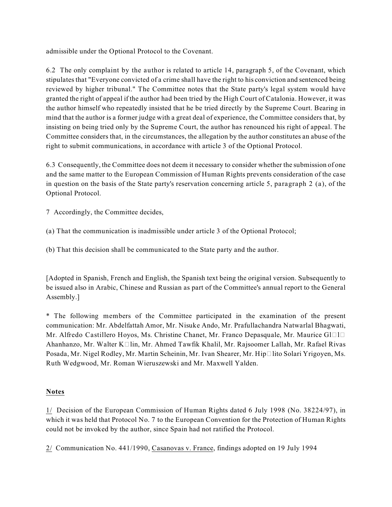admissible under the Optional Protocol to the Covenant.

6.2 The only complaint by the author is related to article 14, paragraph 5, of the Covenant, which stipulates that "Everyone convicted of a crime shall have the right to his conviction and sentenced being reviewed by higher tribunal." The Committee notes that the State party's legal system would have granted the right of appeal if the author had been tried by the High Court of Catalonia. However, it was the author himself who repeatedly insisted that he be tried directly by the Supreme Court. Bearing in mind that the author is a former judge with a great deal of experience, the Committee considers that, by insisting on being tried only by the Supreme Court, the author has renounced his right of appeal. The Committee considers that, in the circumstances, the allegation by the author constitutes an abuse of the right to submit communications, in accordance with article 3 of the Optional Protocol.

6.3 Consequently, the Committee does not deem it necessary to consider whether the submission of one and the same matter to the European Commission of Human Rights prevents consideration of the case in question on the basis of the State party's reservation concerning article 5, paragraph 2 (a), of the Optional Protocol.

7 Accordingly, the Committee decides,

- (a) That the communication is inadmissible under article 3 of the Optional Protocol;
- (b) That this decision shall be communicated to the State party and the author.

[Adopted in Spanish, French and English, the Spanish text being the original version. Subsequently to be issued also in Arabic, Chinese and Russian as part of the Committee's annual report to the General Assembly.]

\* The following members of the Committee participated in the examination of the present communication: Mr. Abdelfattah Amor, Mr. Nisuke Ando, Mr. Prafullachandra Natwarlal Bhagwati, Mr. Alfredo Castillero Hoyos, Ms. Christine Chanet, Mr. Franco Depasquale, Mr. Maurice Gl $\square$ l $\square$ Ahanhanzo, Mr. Walter K $\Box$ lin, Mr. Ahmed Tawfik Khalil, Mr. Rajsoomer Lallah, Mr. Rafael Rivas Posada, Mr. Nigel Rodley, Mr. Martin Scheinin, Mr. Ivan Shearer, Mr. Hip□lito Solari Yrigoyen, Ms. Ruth Wedgwood, Mr. Roman Wieruszewski and Mr. Maxwell Yalden.

## **Notes**

1/ Decision of the European Commission of Human Rights dated 6 July 1998 (No. 38224/97), in which it was held that Protocol No. 7 to the European Convention for the Protection of Human Rights could not be invoked by the author, since Spain had not ratified the Protocol.

2/ Communication No. 441/1990, Casanovas v. France, findings adopted on 19 July 1994